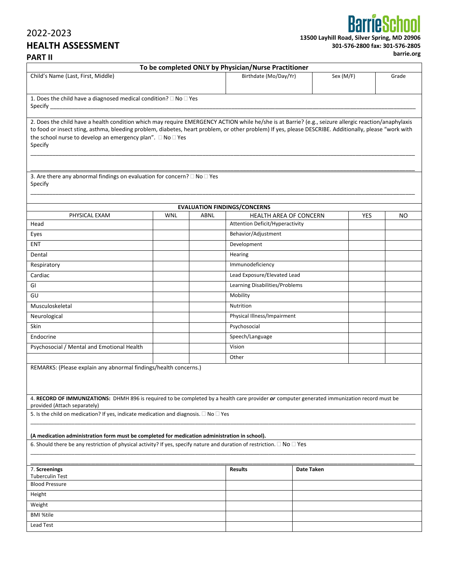## 2022-2023 **HEALTH ASSESSMENT**   $\mathbf{II}$

**13500 Layhill Road, Silver Spring, MD 20906 301-576-2800 fax: 301-576-2805** 

| 00 fax: 301-576-2805 |  |
|----------------------|--|
|----------------------|--|

**barrie.org** 

Specify

**To be completed ONLY by Physician/Nurse Practitioner** Child's Name (Last, First, Middle) Birthdate (Mo/Day/Yr) Sex (M/F) Grade Specify \_\_\_\_\_\_\_\_\_\_\_\_\_\_\_\_\_\_\_\_\_\_\_\_\_\_\_\_\_\_\_\_\_\_\_\_\_\_\_\_\_\_\_\_\_\_\_\_\_\_\_\_\_\_\_\_\_\_\_\_\_\_\_\_\_\_\_\_\_\_\_\_\_\_\_\_\_\_\_\_\_\_\_\_\_\_\_\_\_\_\_\_\_\_\_\_\_\_\_\_\_\_\_\_\_\_\_\_\_\_\_\_\_\_\_\_\_ 2. Does the child have a health condition which may require EMERGENCY ACTION while he/she is at Barrie? (e.g., seizure allergic reaction/anaphylaxis to food or insect sting, asthma, bleeding problem, diabetes, heart problem, or other problem) If yes, please DESCRIBE. Additionally, please "work with

3. Are there any abnormal findings on evaluation for concern?  $\Box$  No  $\Box$  Yes Specify

1. Does the child have a diagnosed medical condition?  $\Box$  No  $\Box$  Yes

the school nurse to develop an emergency plan".  $\square$  No  $\square$  Yes

| Head<br>Eyes                                                                                                                                                                                                                                     | <b>HEALTH AREA OF CONCERN</b><br><b>Attention Deficit/Hyperactivity</b><br>Behavior/Adjustment<br>Development | <b>YES</b> |  |
|--------------------------------------------------------------------------------------------------------------------------------------------------------------------------------------------------------------------------------------------------|---------------------------------------------------------------------------------------------------------------|------------|--|
|                                                                                                                                                                                                                                                  |                                                                                                               |            |  |
| <b>ENT</b>                                                                                                                                                                                                                                       |                                                                                                               |            |  |
| Dental                                                                                                                                                                                                                                           |                                                                                                               |            |  |
|                                                                                                                                                                                                                                                  | Hearing                                                                                                       |            |  |
| Respiratory                                                                                                                                                                                                                                      | Immunodeficiency                                                                                              |            |  |
| Cardiac                                                                                                                                                                                                                                          | Lead Exposure/Elevated Lead                                                                                   |            |  |
| GI                                                                                                                                                                                                                                               | Learning Disabilities/Problems                                                                                |            |  |
| GU                                                                                                                                                                                                                                               | Mobility                                                                                                      |            |  |
| Musculoskeletal                                                                                                                                                                                                                                  | Nutrition                                                                                                     |            |  |
| Neurological                                                                                                                                                                                                                                     | Physical Illness/Impairment                                                                                   |            |  |
| <b>Skin</b>                                                                                                                                                                                                                                      | Psychosocial                                                                                                  |            |  |
| Endocrine                                                                                                                                                                                                                                        | Speech/Language                                                                                               |            |  |
| Psychosocial / Mental and Emotional Health                                                                                                                                                                                                       | Vision                                                                                                        |            |  |
|                                                                                                                                                                                                                                                  | Other                                                                                                         |            |  |
| REMARKS: (Please explain any abnormal findings/health concerns.)<br>4. RECORD OF IMMUNIZATIONS: DHMH 896 is required to be completed by a health care provider or computer generated immunization record must be<br>provided (Attach separately) |                                                                                                               |            |  |
| 5. Is the child on medication? If yes, indicate medication and diagnosis. $\Box$ No $\Box$ Yes                                                                                                                                                   |                                                                                                               |            |  |

\_\_\_\_\_\_\_\_\_\_\_\_\_\_\_\_\_\_\_\_\_\_\_\_\_\_\_\_\_\_\_\_\_\_\_\_\_\_\_\_\_\_\_\_\_\_\_\_\_\_\_\_\_\_\_\_\_\_\_\_\_\_\_\_\_\_\_\_\_\_\_\_\_\_\_\_\_\_\_\_\_\_\_\_\_\_\_\_\_\_\_\_\_\_\_\_\_\_\_\_\_\_\_\_\_\_\_\_\_\_\_\_\_\_\_\_\_\_\_\_\_\_\_

\_\_\_\_\_\_\_\_\_\_\_\_\_\_\_\_\_\_\_\_\_\_\_\_\_\_\_\_\_\_\_\_\_\_\_\_\_\_\_\_\_\_\_\_\_\_\_\_\_\_\_\_\_\_\_\_\_\_\_\_\_\_\_\_\_\_\_\_\_\_\_\_\_\_\_\_\_\_\_\_\_\_\_\_\_\_\_\_\_\_\_\_\_\_\_\_\_\_\_\_\_\_\_\_\_\_\_\_\_\_\_\_\_\_\_\_\_\_\_\_\_\_\_

\_\_\_\_\_\_\_\_\_\_\_\_\_\_\_\_\_\_\_\_\_\_\_\_\_\_\_\_\_\_\_\_\_\_\_\_\_\_\_\_\_\_\_\_\_\_\_\_\_\_\_\_\_\_\_\_\_\_\_\_\_\_\_\_\_\_\_\_\_\_\_\_\_\_\_\_\_\_\_\_\_\_\_\_\_\_\_\_\_\_\_\_\_\_\_\_\_\_\_\_\_\_\_\_\_\_\_\_\_\_\_\_\_\_\_\_\_\_\_\_\_\_\_

| 7. Screenings         | <b>Results</b> | Date Taken |
|-----------------------|----------------|------------|
| Tuberculin Test       |                |            |
| <b>Blood Pressure</b> |                |            |
| Height                |                |            |
| Weight                |                |            |
| <b>BMI %tile</b>      |                |            |
| <b>Lead Test</b>      |                |            |